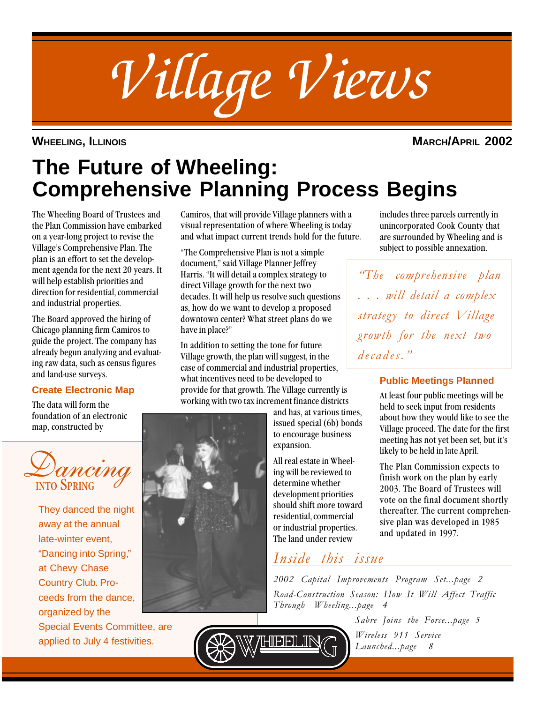

**WHEELING, ILLINOIS MARCH/APRIL 2002**

includes three parcels currently in unincorporated Cook County that are surrounded by Wheeling and is subject to possible annexation.

"The comprehensive plan

. . . will detail a complex

strategy to direct Village

growth for the next two

decades."

**Public Meetings Planned** At least four public meetings will be held to seek input from residents about how they would like to see the Village proceed. The date for the first meeting has not yet been set, but it's

likely to be held in late April.

The Plan Commission expects to finish work on the plan by early 2003. The Board of Trustees will vote on the final document shortly thereafter. The current comprehensive plan was developed in 1985

# **The Future of Wheeling: Comprehensive Planning Process Begins**

The Wheeling Board of Trustees and the Plan Commission have embarked on a year-long project to revise the Village's Comprehensive Plan. The plan is an effort to set the development agenda for the next 20 years. It will help establish priorities and direction for residential, commercial and industrial properties.

The Board approved the hiring of Chicago planning firm Camiros to guide the project. The company has already begun analyzing and evaluating raw data, such as census figures and land-use surveys.

## **Create Electronic Map**

The data will form the foundation of an electronic map, constructed by



They danced the night away at the annual late-winter event, "Dancing into Spring," at Chevy Chase Country Club. Proceeds from the dance, organized by the

Special Events Committee, are applied to July 4 festivities.

Camiros, that will provide Village planners with a visual representation of where Wheeling is today and what impact current trends hold for the future.

"The Comprehensive Plan is not a simple document," said Village Planner Jeffrey Harris. "It will detail a complex strategy to direct Village growth for the next two decades. It will help us resolve such questions as, how do we want to develop a proposed downtown center? What street plans do we have in place?"

In addition to setting the tone for future Village growth, the plan will suggest, in the case of commercial and industrial properties, what incentives need to be developed to provide for that growth. The Village currently is working with two tax increment finance districts

and has, at various times, issued special (6b) bonds to encourage business expansion.

All real estate in Wheeling will be reviewed to determine whether development priorities should shift more toward residential, commercial or industrial properties. The land under review

## Inside this issue

2002 Capital Improvements Program Set...page 2 Road-Construction Season: How It Will Affect Traffic Through Wheeling...page 4

> Sabre Joins the Force...page 5 Wireless 911 Service Launched...page 8

and updated in 1997.

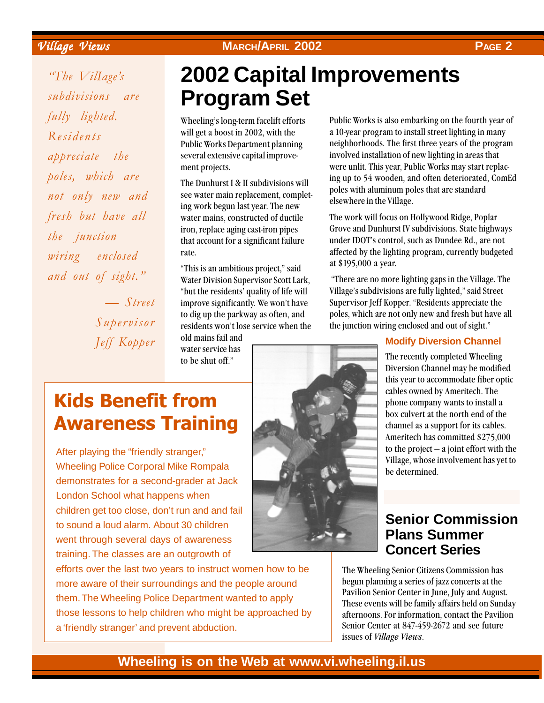Village Views Village Views **MARCH/APRIL 2002 PAGE 2**

"The VilIage's subdivisions are fully lighted. Residents appreciate the poles, which are not only new and fresh but have all the junction wiring enclosed and out of sight." — Street

Supervisor Jeff Kopper

# **2002 Capital Improvements Program Set**

Wheeling's long-term facelift efforts will get a boost in 2002, with the Public Works Department planning several extensive capital improvement projects.

The Dunhurst I & II subdivisions will see water main replacement, completing work begun last year. The new water mains, constructed of ductile iron, replace aging cast-iron pipes that account for a significant failure rate.

"This is an ambitious project," said Water Division Supervisor Scott Lark, "but the residents' quality of life will improve significantly. We won't have to dig up the parkway as often, and residents won't lose service when the

old mains fail and water service has to be shut off."

Public Works is also embarking on the fourth year of a 10-year program to install street lighting in many neighborhoods. The first three years of the program involved installation of new lighting in areas that were unlit. This year, Public Works may start replacing up to 54 wooden, and often deteriorated, ComEd poles with aluminum poles that are standard elsewhere in the Village.

The work will focus on Hollywood Ridge, Poplar Grove and Dunhurst IV subdivisions. State highways under IDOT's control, such as Dundee Rd., are not affected by the lighting program, currently budgeted at \$195,000 a year.

 "There are no more lighting gaps in the Village. The Village's subdivisions are fully lighted," said Street Supervisor Jeff Kopper. "Residents appreciate the poles, which are not only new and fresh but have all the junction wiring enclosed and out of sight."

## **Modify Diversion Channel**

The recently completed Wheeling Diversion Channel may be modified this year to accommodate fiber optic cables owned by Ameritech. The phone company wants to install a box culvert at the north end of the channel as a support for its cables. Ameritech has committed \$275,000 to the project — a joint effort with the Village, whose involvement has yet to be determined.

# Kids Benefit from Awareness Training

After playing the "friendly stranger," Wheeling Police Corporal Mike Rompala demonstrates for a second-grader at Jack London School what happens when children get too close, don't run and and fail to sound a loud alarm. About 30 children went through several days of awareness training. The classes are an outgrowth of

efforts over the last two years to instruct women how to be more aware of their surroundings and the people around them. The Wheeling Police Department wanted to apply those lessons to help children who might be approached by a 'friendly stranger' and prevent abduction.



## **Senior Commission Plans Summer Concert Series**

The Wheeling Senior Citizens Commission has begun planning a series of jazz concerts at the Pavilion Senior Center in June, July and August. These events will be family affairs held on Sunday afternoons. For information, contact the Pavilion Senior Center at 847-459-2672 and see future issues of Village Views.

## **Wheeling is on the Web at www.vi.wheeling.il.us**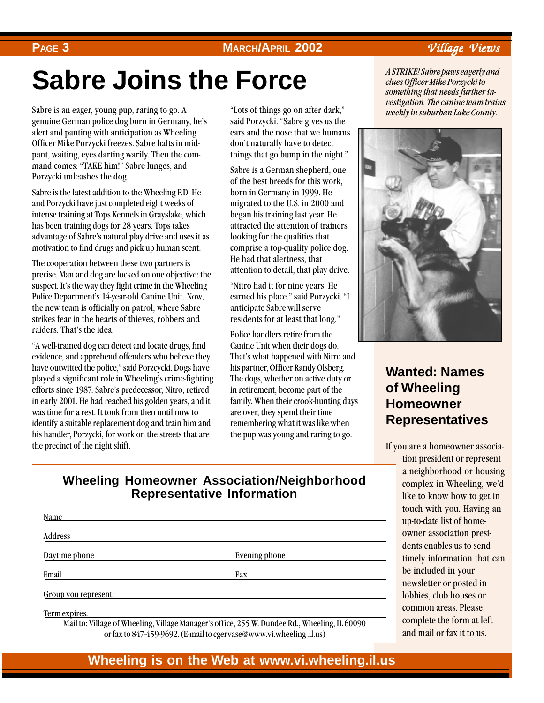## **PAGE 3**

## **MARCH/APRIL 2002** Village Views

# **Sabre Joins the Force**

Sabre is an eager, young pup, raring to go. A genuine German police dog born in Germany, he's alert and panting with anticipation as Wheeling Officer Mike Porzycki freezes. Sabre halts in midpant, waiting, eyes darting warily. Then the command comes: "TAKE him!" Sabre lunges, and Porzycki unleashes the dog.

Sabre is the latest addition to the Wheeling P.D. He and Porzycki have just completed eight weeks of intense training at Tops Kennels in Grayslake, which has been training dogs for 28 years. Tops takes advantage of Sabre's natural play drive and uses it as motivation to find drugs and pick up human scent.

The cooperation between these two partners is precise. Man and dog are locked on one objective: the suspect. It's the way they fight crime in the Wheeling Police Department's 14-year-old Canine Unit. Now, the new team is officially on patrol, where Sabre strikes fear in the hearts of thieves, robbers and raiders. That's the idea.

"A well-trained dog can detect and locate drugs, find evidence, and apprehend offenders who believe they have outwitted the police," said Porzcycki. Dogs have played a significant role in Wheeling's crime-fighting efforts since 1987. Sabre's predecessor, Nitro, retired in early 2001. He had reached his golden years, and it was time for a rest. It took from then until now to identify a suitable replacement dog and train him and his handler, Porzycki, for work on the streets that are the precinct of the night shift.

"Lots of things go on after dark," said Porzycki. "Sabre gives us the ears and the nose that we humans don't naturally have to detect things that go bump in the night."

Sabre is a German shepherd, one of the best breeds for this work, born in Germany in 1999. He migrated to the U.S. in 2000 and began his training last year. He attracted the attention of trainers looking for the qualities that comprise a top-quality police dog. He had that alertness, that attention to detail, that play drive.

"Nitro had it for nine years. He earned his place." said Porzycki. "I anticipate Sabre will serve residents for at least that long."

Police handlers retire from the Canine Unit when their dogs do. That's what happened with Nitro and his partner, Officer Randy Olsberg. The dogs, whether on active duty or in retirement, become part of the family. When their crook-hunting days are over, they spend their time remembering what it was like when the pup was young and raring to go.

A STRIKE! Sabre paws eagerly and clues Officer Mike Porzycki to something that needs further investigation. The canine team trains weekly in suburban Lake County.



## **Wanted: Names of Wheeling Homeowner Representatives**

If you are a homeowner associa-

tion president or represent a neighborhood or housing complex in Wheeling, we'd like to know how to get in touch with you. Having an up-to-date list of homeowner association presidents enables us to send timely information that can be included in your newsletter or posted in lobbies, club houses or common areas. Please complete the form at left and mail or fax it to us.

## **Wheeling Homeowner Association/Neighborhood Representative Information**

| <b>Name</b>          |               |  |
|----------------------|---------------|--|
| Address              |               |  |
| Daytime phone        | Evening phone |  |
| Email                | Fax           |  |
| Group you represent: |               |  |
| Term expires:        |               |  |

Mail to: Village of Wheeling, Village Manager's office, 255 W. Dundee Rd., Wheeling, IL 60090 or fax to 847-459-9692. (E-mail to cgervase@www.vi.wheeling .il.us)

**Wheeling is on the Web at www.vi.wheeling.il.us**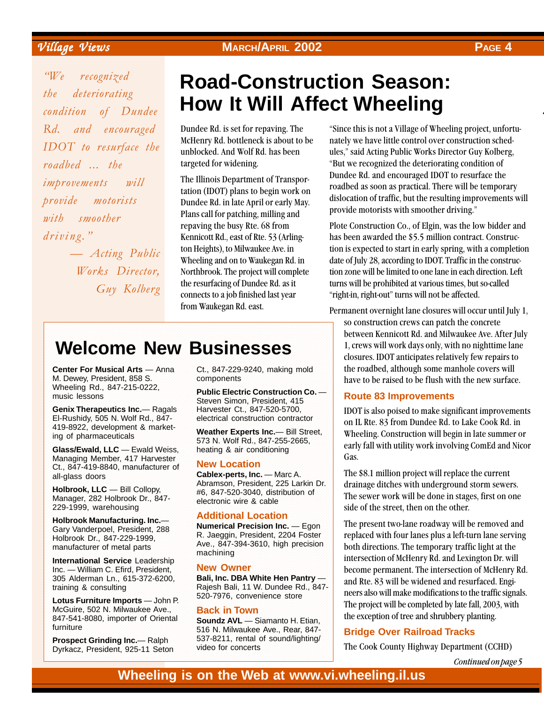"We recognized the deteriorating

roadbed ... the

with smoother

driving."

improvements will provide motorists

condition of Dundee Rd. and encouraged IDOT to resurface the

# **Road-Construction Season: How It Will Affect Wheeling**

Dundee Rd. is set for repaving. The McHenry Rd. bottleneck is about to be unblocked. And Wolf Rd. has been targeted for widening.

The Illinois Department of Transportation (IDOT) plans to begin work on Dundee Rd. in late April or early May. Plans call for patching, milling and repaving the busy Rte. 68 from Kennicott Rd., east of Rte. 53 (Arlington Heights), to Milwaukee Ave. in Wheeling and on to Waukegan Rd. in Northbrook. The project will complete the resurfacing of Dundee Rd. as it connects to a job finished last year from Waukegan Rd. east. **EVERY CONSULTER MARCH/APRIL 2002**<br>
The resultion of Data Consultation Consultation Consultation Consultation Consultation Consultation Consultation Consultation Consultation Consultation Consultation Consultation Consult

"Since this is not a Village of Wheeling project, unfortunately we have little control over construction schedules," said Acting Public Works Director Guy Kolberg, "But we recognized the deteriorating condition of Dundee Rd. and encouraged IDOT to resurface the roadbed as soon as practical. There will be temporary dislocation of traffic, but the resulting improvements will provide motorists with smoother driving."

Plote Construction Co., of Elgin, was the low bidder and has been awarded the \$5.5 million contract. Construction is expected to start in early spring, with a completion date of July 28, according to IDOT. Traffic in the construction zone will be limited to one lane in each direction. Left turns will be prohibited at various times, but so-called "right-in, right-out" turns will not be affected.

Permanent overnight lane closures will occur until July 1, so construction crews can patch the concrete between Kennicott Rd. and Milwaukee Ave. After July 1, crews will work days only, with no nighttime lane closures. IDOT anticipates relatively few repairs to the roadbed, although some manhole covers will have to be raised to be flush with the new surface.

### **Route 83 Improvements**

IDOT is also poised to make significant improvements on IL Rte. 83 from Dundee Rd. to Lake Cook Rd. in Wheeling. Construction will begin in late summer or early fall with utility work involving ComEd and Nicor Gas.

The \$8.1 million project will replace the current drainage ditches with underground storm sewers. The sewer work will be done in stages, first on one side of the street, then on the other.

The present two-lane roadway will be removed and replaced with four lanes plus a left-turn lane serving both directions. The temporary traffic light at the intersection of McHenry Rd. and Lexington Dr. will become permanent. The intersection of McHenry Rd. and Rte. 83 will be widened and resurfaced. Engineers also will make modifications to the traffic signals. The project will be completed by late fall, 2003, with the exception of tree and shrubbery planting.

### **Bridge Over Railroad Tracks**

The Cook County Highway Department (CCHD)

Continued on page 5

### **Welcome New Businesses** 12345678901234567890123456789012123456789012345678901234567890121234567890123456789012345678901212 12345678901234567890123456789012123456789012345678901234567890121234567890123456789012345678901212

12345678901234567890123456789012123456789012345678901234567890121234567890123456789012345678901212 12345678901234567890123456789012123456789012345678901234567890121234567890123456789012345678901212 12345678901234567890123456789012123456789012345678901234567890121234567890123456789012345678901212 12345678901234567890123456789012123456789012345678901234567890121234567890123456789012345678901212 12345678901234567890123456789012123456789012345678901234567890121234567890123456789012345678901212

12345678901234567890123456789012123456789012345678901234567890121234567890123456789012345678901212

Center For Musical Arts - Anna Ct., 847-229-9240, making mold 12345678901234567890123456789012123456789012345678901234567890121234567890123456789012345678901212 M. Dewey, President, 858 S. Components Communication Communication Communication Communication Communication Communication Communication Communication Communication Communication Communication Communication Communication C Wheeling Rd., 847-215-0222, music lessons

— Acting Public Works Director,

Guy Kolberg

El-Rushidy, 505 N. Wolf Rd., 847- electrical construction contractor 419-8922, development & market-<br>Meather Experts Inc. Bill Street ing of pharmaceuticals

Managing Member, 417 Harvester Managing Members Ct., 847-419-8840, manufacturer of New Location all-glass doors

**229-1999, warehousing** 23456789012345678901234567890121234567890123456789012345678901234567890121234567890123456

**Holbrook Manufacturing. Inc.— Additional Eccation** Holbrook Dr., 847-229-1999,

**International Service** Leadership **Container and Container and Containers IDED The United States of States Inc.** - William C. Efird, President, **New Owner** 305 Alderman Ln., 615-372-6200, training & consulting

**Lotus Furniture Imports** — John P.  $\frac{326}{1010}$ , convenience state McGuire, 502 N. Milwaukee Ave., **Back in Town 12345678020123456789012345678901234567802123456780212345678021212345678902121234567890212121212121212121212121**  $1847-541-8080$ , importer of Oriental Soundz AVI — Siamanto H Ftian 847-541-8080, Importer of Oriental **Soundz AVL** — Siamanto H. Etian, **16 N** Milwaukee Ave Rear 847-

Dyrkacz, President, 925-11 Seton video for concerts

**Center For Musical Arts** — Anna Ct., 847-229-9240, making mold components

Public Electric Construction Co. Steven Simon, President, 415 12345678901234567890123456789012123456789012345678901234567890121234567890123456789012345678901212 Genix Therapeutics Inc.— Ragals Harvester Ct., 847-520-5700, Harvester Ct., 847-520-5700, electrical construction contractor

Fig. of phermanophicals of individual weather Experts Inc.— Bill Street,  $\begin{bmatrix} 1 & 0 \\ 0 & 0 \end{bmatrix}$  briannaceurcals  $\begin{bmatrix} 573 \\ 0 & 0 \end{bmatrix}$  M. Wolf Rd., 847-255-2665, **Glass/Ewald, LLC** — Ewald Weiss, heating & air conditioning heating & air conditioning

### **New Location**

all-glass doors **Cablex-perts, Inc.** — Marc A. Abramson, President, 225 Larkin Dr. 12345678901234567890123456789012123456789012345678901234567890121234567890123456789012345678901212 **Holbrook, LLC** — Bill Collopy, **Holbrook, LLC**  $-$  Bill Collopy,  $\qquad$  #6, 847-520-3040, distribution of Manager, 282 Holbrook Dr., 847-<br>
electronic wire  $\&$  cable Mahager, 282 Holbrook Dr., 847- electronic wire & cable

### 12345678901234567890123456789012123456789012345678901234567890121234567890123456789012345678901212 **Additional Location**

**12345678901212345678912345678901234567890123456789012345678901234567890121234567890121234567890121234567890121** Gary Vanderpoel, President, 288 Munierical Precision Inc. - Egon R. Jaeggin, President, 2204 Foster 1 2011 2012 12:30 12:30 Ave., 847-394-3610, high precision manufacturer of metal parts  $Ave$ ,  $Ave$ ,  $Ave$ ,  $Ave$ ,  $Ave$ ,  $Ave$ ,  $Ave$ ,  $Ave$ nationalista se model parte de machining de la parte de la parte de la parte de la parte de la parte de la par

### **New Owner**

305 Alderman Ln., 615-372-6200, Bali, Inc. DBA White Hen Pantry  $$ training & consulting Rajesh Bali, 11 W. Dundee Rd., 847-12345678901234567890123456789012123456789012345678901234567890121234567890123456789012345678901212 1 2 520-7976, convenience store

12345678901234567890123456789012123456789012345678901234567890121234567890123456789012345678901212 12345678901234567890123456789012123456789012345678901234567890121234567890123456789012345678901212 12345678901234567890123456789012123456789012345678901234567890121234567890123456789012345678901212

Furniture **1996** but the state of the state of the state of the state of the state of the state of the state of the state of the state of the state of the state of the state of the state of the state of the state of the st 12345678901234567890123456789012123456789012345678901234567890121234567890123456789012345678901212 **Prospect Grinding Inc.**— Ralph 537-8211, rental of sound/lighting/ **Prospect Grinding Inc.**— Ralph 537-8211, rental of sound/lighting/ video for concerts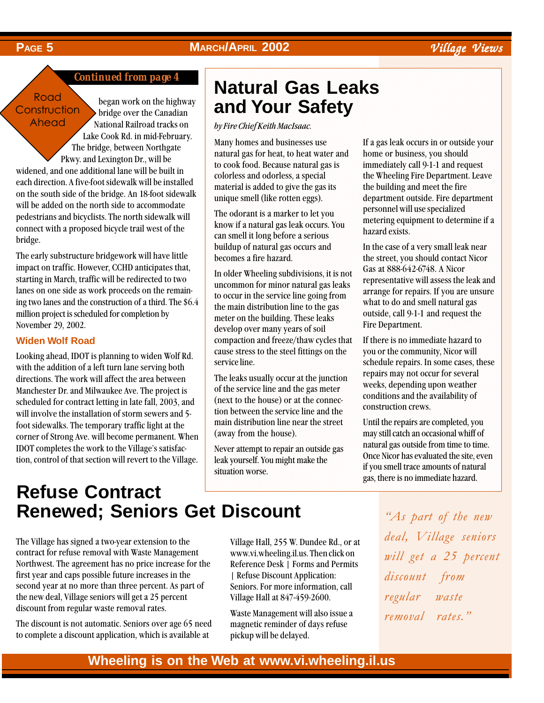## **PAGE 5 MARCH/APRIL 2002** Village Views

## *Continued from page 4*

### **Road Construction** Ahead

began work on the highway bridge over the Canadian National Railroad tracks on

Lake Cook Rd. in mid-February. The bridge, between Northgate Pkwy. and Lexington Dr., will be widened, and one additional lane will be built in each direction. A five-foot sidewalk will be installed on the south side of the bridge. An 18-foot sidewalk will be added on the north side to accommodate pedestrians and bicyclists. The north sidewalk will connect with a proposed bicycle trail west of the bridge.

The early substructure bridgework will have little impact on traffic. However, CCHD anticipates that, starting in March, traffic will be redirected to two lanes on one side as work proceeds on the remaining two lanes and the construction of a third. The \$6.4 million project is scheduled for completion by November 29, 2002.

### **Widen Wolf Road**

Looking ahead, IDOT is planning to widen Wolf Rd. with the addition of a left turn lane serving both directions. The work will affect the area between Manchester Dr. and Milwaukee Ave. The project is scheduled for contract letting in late fall, 2003, and will involve the installation of storm sewers and 5 foot sidewalks. The temporary traffic light at the corner of Strong Ave. will become permanent. When IDOT completes the work to the Village's satisfaction, control of that section will revert to the Village.

### Natural Gas Leaks 12345678902345678901234567890123456789012345678901234578901234578901234567890123456789012345678901234567890121 12345678901234567890123456789012123456789012345678901234567890121234567890123456789012345678901212345 and Your Safety **All Accord Strutter Service Strutter** 12345678901234567890123456789012123456789012345678901234567890121234567890123456789012345678901212345

12345678901234567890123456789012123456789012345678901234567890121234567890123456789012345678901212345 12345678901234567890123456789012123456789012345678901234567890121234567890123456789012345678901212345 12345678901234567890123456789012123456789012345678901234567890121234567890123456789012345678901212345

12345678901234567890123456789012123456789012345678901234567890121234567890123456789012345678901212345

12345678901234567890123456789012123456789012345678901234567890121234567890123456789012345678901212345 12345678901234567890123456789012123456789012345678901234567890121234567890123456789012345678901212345

by Fire Chief Keith MacIsaac.

Many homes and businesses use If a gas leak occurs in or outside your 12345678901234567890123456789012123456789012345678901234567890121234567890123456789012345678901212345 natural gas for heat, to heat water and home or business, you should to cook food. Because natural gas is immediately call 9-1-1 and request to cook food. Because natural gas is immediately call 9-1-1 and request colorless and odorless, a special the Wheeling Fire Department. Leave 12345678901234567890123456789012123456789012345678901234567890121234567890123456789012345678901212345 | material is added to give the gas its the building and meet the fire 12345678901234567890123456789012123456789012345678901234567890121234567890123456789012345678901212345 Many homes and businesses use colorless and odorless, a special unique smell (like rotten eggs).

can smell it long before a serious hazard exists. 12345678901234567890123456789012123456789012345678901234567890121234567890123456789012345678901212345 buildup of natural gas occurs and becomes a fire hazard.

In older Wheeling subdivisions, it is not  $\frac{\log a}{\log a}$  at  $\frac{\log a}{\log a}$  is not  $\log a$ . A Nicol  $\frac{1}{2}$  and the case is also see all  $\frac{1}{2}$  as leak and  $\frac{1}{2}$  representative will assess the leak and  $\left| \right|$  uncommon for minor natural gas leaks representative will assess the lean and to occur in the service line going from arrange for repairs. If you are unsure to occur in the service line going from  $\frac{a_1 a_2 a_3}{b_1}$  and  $\frac{a_2 a_3}{c_1}$  $\frac{1}{2}$  the main distribution line to the gas what to do and smell natural gas the main distribution line to the gas  $\frac{\text{wnd}}{\text{d}t}$  what to go and sinen natural gas  $\frac{123}{\text{meter on the building. Those leads}}$  outside, call 9-1-1 and request the meter on the building. These leaks  $\frac{0}{n}$  and request the develop over many years of soil **Example 2** Fire Department. compaction and freeze/thaw cycles that If there is no immediate hazard to 12345678901234567890123456789012123456789012345678901234567890121234567890123456789012345678901212345 cause stress to the steel fittings on the you or the community, Nicor will service line. Schedule repairs. In some cases, these service line.

 $\frac{1}{2}$  of the service line and the gas meter weeks, depending upon weather of the service line and the gas meter  $\overline{\phantom{a}}$  weeks, usefulling upon wealth  $\begin{array}{c|c}\n\hline\n\text{(next to the house) or at the connec.}\n\end{array}$  conditions and the availability of (next to the house) or at the connection of the conditions and the availability of 12345678901234567890123456789012123456789012345678901234567890121234567890123456789012345678901212345 construction crews.  $\left| \right|$  tion between the service line and the consumer consumer that  $\left| \right|$ 12345678901234567890123456789012123456789012345678901234567890121234567890123456789012345678901212345 | main distribution line near the street Until the repairs are completed, you | main distribution line near the street Until the repairs are completed, you

situation worse.

unique smell (like rotten eggs). department outside. Fire department  $\left| \right|$  The odorant is a marker to let you personnel will use specialized The odorant is a marker to let you personnel will use specialized  $\frac{1}{2}$  know if a natural gas leak occurs. You metering equipment to determine if a  $\left| \right|$  know if a natural gas leak occurs. You home or business, you should the building and meet the fire hazard exists.

buildup of natural gas occurs and In the case of a very small leak near 12345678901234567890123456789012123456789012345678901234567890121234567890123456789012345678901212345 becomes a fire hazard. the street, you should contact Nicor In older Wheeling subdivisions it is not Gas at  $888-642-6748$ . A Nicor Fire Department.

 $\left| \begin{array}{c} \text{The leaves usually occur at the function} \\ \end{array} \right|$  repairs may not occur for several The leaks usually occur at the junction  $\frac{1}{2}$  is may not occur for several If there is no immediate hazard to you or the community, Nicor will

(away from the house). The may still catch an occasional whiff of away from the house). may still catch an occasional whiff of Never attempt to repair an outside gas natural gas outside from time to time. Never attempt to repair an outside gas  $\frac{\text{diam} a}{\text{diam} a}$  and  $\frac{\text{diam} a}{\text{diam} a}$ look vourself You might make the Once Nicor has evaluated the site, even leak yourself. You might make the concern with the state of the state of the state of the state of the state of the state of the state of the state of the state of the state of the state of the state of the state of the st situation worse in the state of the state of the state of the state of the state of the state of the state of the state of the state of the state of the state of the state of the state of the state of the state of the stat gas, there is no immediate hazard.

### 12345678901234567890123456789012123456789012345678901234567890121234567890123456789012345678901212345 12345678901234567890123456789012123456789012345678901234567890121234567890123456789012345678901212345 12345678901234567890123456789012123456789012345678901234567890121234567890123456789012345678901212345 **Refuse Contract Renewed; Seniors Get Discount**

The Village has signed a two-year extension to the contract for refuse removal with Waste Management Northwest. The agreement has no price increase for the first year and caps possible future increases in the second year at no more than three percent. As part of the new deal, Village seniors will get a 25 percent discount from regular waste removal rates.

The discount is not automatic. Seniors over age 65 need to complete a discount application, which is available at

Village Hall, 255 W. Dundee Rd., or at www.vi.wheeling.il.us. Then click on Reference Desk | Forms and Permits | Refuse Discount Application: Seniors. For more information, call Village Hall at 847-459-2600.

Waste Management will also issue a magnetic reminder of days refuse pickup will be delayed.

"As part of the new deal, Village seniors will get a 25 percent discount from regular waste removal rates."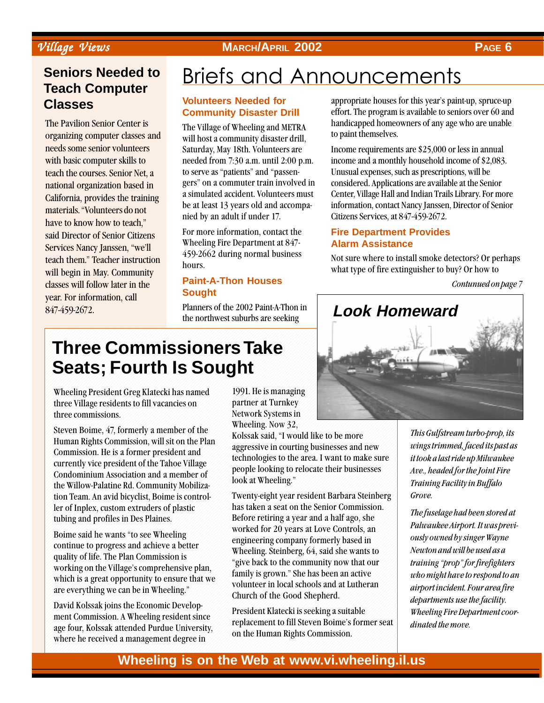## $Village\ Views$  **MARCH/APRIL 2002 PAGE 6**

## **Seniors Needed to Teach Computer Classes**

The Pavilion Senior Center is organizing computer classes and needs some senior volunteers with basic computer skills to teach the courses. Senior Net, a national organization based in California, provides the training materials. "Volunteers do not have to know how to teach," said Director of Senior Citizens Services Nancy Janssen, "we'll teach them." Teacher instruction will begin in May. Community classes will follow later in the year. For information, call 847-459-2672.

# **Briefs and Announcements**

### **Volunteers Needed for Community Disaster Drill**

The Village of Wheeling and METRA will host a community disaster drill, Saturday, May 18th. Volunteers are needed from 7:30 a.m. until 2:00 p.m. to serve as "patients" and "passengers" on a commuter train involved in a simulated accident. Volunteers must be at least 13 years old and accompanied by an adult if under 17.

For more information, contact the Wheeling Fire Department at 847- 459-2662 during normal business hours.

## **Paint-A-Thon Houses Sought**

Planners of the 2002 Paint-A-Thon in the northwest suburbs are seeking

appropriate houses for this year's paint-up, spruce-up effort. The program is available to seniors over 60 and handicapped homeowners of any age who are unable to paint themselves.

Income requirements are \$25,000 or less in annual income and a monthly household income of \$2,083. Unusual expenses, such as prescriptions, will be considered. Applications are available at the Senior Center, Village Hall and Indian Trails Library. For more information, contact Nancy Janssen, Director of Senior Citizens Services, at 847-459-2672.

## **Fire Department Provides Alarm Assistance**

Not sure where to install smoke detectors? Or perhaps what type of fire extinguisher to buy? Or how to

Contunued on page 7



### 123456789012345678901234567890121234567890123456789012345678901212345678901234567890123456789012123456789012345678901234 123456789012345678901234567890121234567890123456789012345678901212345678901234567890123456789012123456789012345678901234 Three Commissioners Take 123456789012345678901234567890121234567890123456789012345678901212345678901234567890123456789012123456789012345678901234 123456789012345678901234567890121234567890123456789012345678901212345678901234567890123456789012123456789012345678901234 Seats; Fourth Is Sought **Contract Contract Contract Contract Contract Contract Contract Contract Contract Contract Contract Contract Contract Contract Contract Contract Contract Contract Contract Contract Contract Contract**

**12345678901212345678901234567890123456789012345678901234567890123456789012123456789012345678901234567890123456 EXECUTE:** Wheeling President Greg Klatecki has named 1991. He is managing three Village residents to fill vacancies on partner at Turnkey 123456789012345678901234567890121234567890123456789012345678901212345678901234567890123456789012123456789012345678901234 **Example 2018** three commissions. Network Systems in 123456789012345678901234567890121234567890123456789012345678901212345678901234567890123456789012123456789012345678901234 three commissions.

123456789012345678901234567890121234567890123456789012345678901212345678901234567890123456789012123456789012345678901234 Wheeling. Now 32, Steven Boime, 47, formerly a member of the  $\frac{\text{wneq}}{\text{Kolegeleq}}$ ,  $\frac{\text{wneq}}{\text{Kolegeleq}}$ ,  $\frac{\text{wneq}}{\text{Wolegeleq}}$  $\frac{1}{2}$   $\frac{1}{2}$   $\frac{1}{2}$   $\frac{1}{2}$   $\frac{1}{2}$   $\frac{1}{2}$   $\frac{1}{2}$   $\frac{1}{2}$   $\frac{1}{2}$   $\frac{1}{2}$   $\frac{1}{2}$   $\frac{1}{2}$   $\frac{1}{2}$   $\frac{1}{2}$   $\frac{1}{2}$   $\frac{1}{2}$   $\frac{1}{2}$   $\frac{1}{2}$   $\frac{1}{2}$   $\frac{1}{2}$   $\frac{1}{2}$   $\frac{1}{2}$  Human Rights Commission, will sit on the Plan<br>accressive in courting businesses and now  $\begin{bmatrix}\n\text{Gamma} & \text{sum} \\
\text{Gamma} & \text{sum} \\
\text{Gamma} & \text{sum}\n\end{bmatrix}\n\begin{bmatrix}\n\text{sum} \\
\text{max}\n\end{bmatrix}\n\begin{bmatrix}\n\text{sum} \\
\text{max}\n\end{bmatrix}\n\begin{bmatrix}\n\text{sum} \\
\text{max}\n\end{bmatrix}\n\begin{bmatrix}\n\text{sum} \\
\text{max}\n\end{bmatrix}\n\begin{bmatrix}\n\text{sum} \\
\text{max}\n\end{bmatrix}\n\begin{bmatrix}\n\text{sum} \\
\text{max}\n\end{bmatrix}\n\begin{bmatrix}\n\text{sum} \\
\$ 123456789012345678901234567890121234567890123456789012345678901212345678901234567890123456789012123456789012345678901234 123456789012345678901234567890121234567890123456789012345678901212345678901234567890123456789012123456789012345678901234 Commission. He is a former president and  $\frac{1}{2}$  commission in a total of the Table Village the thrologies to the area. I want to make sure 123456789012345678901234567890121234567890123456789012345678901212345678901234567890123456789012123456789012345678901234 currently vice president of the Tahoe Village 123456789012345678901234567890121234567890123456789012345678901212345678901234567890123456789012123456789012345678901234 people looking to relocate their businesses  $\left| \right|$  Condominium Association and a member of  $\left| \right|$  before it wheeling is relocate their businesses Experiment intervention and include the Willem Political Reservoirs of the Willem Political Reservoirs of the Willem Political Reservoirs of the Willem Political Reservoirs of the Willem Political Reservoirs of the Willem the Willow-Palatine Rd. Community Mobilization of the Willow-Palatine Rd. Community Mobilization tion Team. An avid bicyclist, Boime is control-<br>Twenty-eight year resident Barbara Steinberg tion Team. An avid bicyclist, Boime is control-<br>
Twenty-eight year resident Barbara Steinberg er of Inplex, custom extruders of plastic has taken a seat on the Senior Commission. ler of Inplex, custom extruders of plastic has taken a seat on the Senior Commission. tubing and profiles in Des Plaines. Before retiring a year and a half ago, she tubing and profiles in Des Plaines.

123456789012345678901234567890121234567890123456789012345678901212345678901234567890123456789012123456789012345678901234 1 4 Boime said he wants "to see Wheeling  $\begin{bmatrix}\n\text{231} \\
\text{234} \\
\text{234} \\
\text{245} \\
\text{254} \\
\text{264} \\
\text{274} \\
\text{284} \\
\text{294} \\
\text{204} \\
\text{213} \\
\text{224} \\
\text{234} \\
\text{245} \\
\text{254} \\
\text{264} \\
\text{274} \\
\text{284} \\
\text{294} \\
\text{204} \\
\text{204} \\
\text{214} \\
\text{224} \\
\text{234} \\
\text{245} \\
\text{254} \\
\text{26$ continue to progress and achieve a better  $\frac{C_{\text{H}}}{W_{\text{H}}}\frac{C_{\text{H}}}{C_{\text{H}}}\frac{C_{\text{H}}}{C_{\text{H}}}\frac{C_{\text{H}}}{C_{\text{H}}}\frac{C_{\text{H}}}{C_{\text{H}}}\frac{C_{\text{H}}}{C_{\text{H}}}\frac{C_{\text{H}}}{C_{\text{H}}}\frac{C_{\text{H}}}{C_{\text{H}}}\frac{C_{\text{H}}}{C_{\text{H}}}\frac{C_{\text{H}}}{C_{\text{$  $\mu$  continue to progress and atmove a better<br>Wheeling. Steinberg, 64, said she wants to quality of life. The Plan Commission is  $\mathbf{r} = \begin{bmatrix} 1 & 0 & 0 \\ 0 & 0 & 0 \\ 0 & 0 & 0 \end{bmatrix}$ working on the Village's commentance of the contract of the community now that our working on the Village's comprehensive plan,  $\frac{1}{2}$  for the second section of the base has help an active which is a great opportunity to ensure that we railway is grown. She has been an active refer to the street of the street in the street of the street of the street of the street of the street of the street of the street of the street of the street of the street of the street of the street of the street of the  $\alpha$  are everything we can be in Wheeling."

David Kolssak joins the Economic Develop-<br>  $\frac{1}{2}$  $\begin{bmatrix}\n\text{where, for each vector, and the product of the matrix is } \n\text{where } \mathbf{a}_1, \mathbf{a}_2, \mathbf{a}_3, \mathbf{a}_4, \mathbf{a}_5, \mathbf{a}_6, \mathbf{a}_7, \mathbf{a}_8, \mathbf{a}_9, \mathbf{a}_9, \mathbf{a}_9, \mathbf{a}_9, \mathbf{a}_9, \mathbf{a}_9, \mathbf{a}_9, \mathbf{a}_9, \mathbf{a}_9, \mathbf{a}_9, \mathbf{a}_9, \mathbf{a}_9, \mathbf{a}_9, \mathbf{a}_9, \mathbf{a}_9, \mathbf{a$ where he received a management degree in

partner at Turnkey

Poimo said ho wants "to soo Whooling" worked for 20 years at Love Controls, an are everyding we can be in whereing. Church of the Good Shepherd. family is grown." She has been an active

 $\frac{1}{2}$  and Kommission A Whoeling resident since  $\frac{1}{2}$  President Klatecki is seeking a suitable  $\blacksquare$  ment Commission. A Wheeling resident since  $\blacksquare$ replacement to fill Steven Boine's former seat age four, Kolssak attended Purdue University,

This Gulfstream turbo-prop, its wings trimmed, faced its past as it took a last ride up Milwaukee Ave., headed for the Joint Fire Training Facility in Buffalo Grove.

The fuselage had been stored at Palwaukee Airport. It was previously owned by singer Wayne Newton and will be used as a training "prop" for firefighters who might have to respond to an airport incident. Four area fire departments use the facility. Wheeling Fire Department coordinated the move.

## **Wheeling is on the Web at www.vi.wheeling.il.us**

1 4 123456789012345678901234567890121234567890123456789012345678901212345678901234567890123456789012123456789012345678901234 123456789012345678901234567890121234567890123456789012345678901212345678901234567890123456789012123456789012345678901234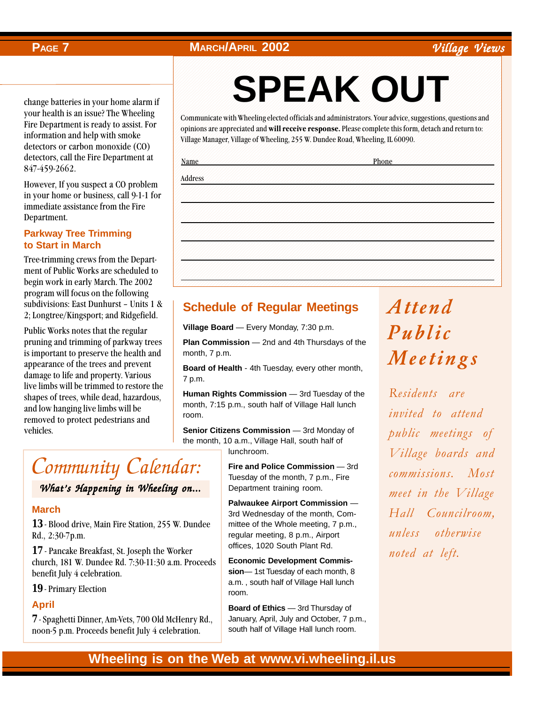## **PAGE 7 MARCH/APRIL 2002 Village Views**

change batteries in your home alarm if your health is an issue? The Wheeling Fire Department is ready to assist. For information and help with smoke detectors or carbon monoxide (CO) detectors, call the Fire Department at 847-459-2662.

However, If you suspect a CO problem in your home or business, call 9-1-1 for immediate assistance from the Fire Department.

### **Parkway Tree Trimming to Start in March**

Tree-trimming crews from the Department of Public Works are scheduled to begin work in early March. The 2002 program will focus on the following subdivisions: East Dunhurst – Units 1 & 2; Longtree/Kingsport; and Ridgefield.

Public Works notes that the regular pruning and trimming of parkway trees is important to preserve the health and appearance of the trees and prevent damage to life and property. Various live limbs will be trimmed to restore the shapes of trees, while dead, hazardous, and low hanging live limbs will be removed to protect pedestrians and vehicles.

# Community Calendar:

## What's Happening in Wheeling on...

### **March**

13 - Blood drive, Main Fire Station, 255 W. Dundee Rd., 2:30-7p.m.

17- Pancake Breakfast, St. Joseph the Worker church, 181 W. Dundee Rd. 7:30-11:30 a.m. Proceeds benefit July 4 celebration.

### 19 Primary Election

### **April**

*7* - Spaghetti Dinner, Am-Vets, 700 Old McHenry Rd., noon-5 p.m. Proceeds benefit July 4 celebration.

### 1234567890123456789012345678901212345678901234567890123456789012123456789012345678901234567890121234567890123456 SPEAK OUT 1234567890123456789012345678901212345678901234567890123456789012123456789012345678901234567890121234567890123456 1234567890123456789012345678901212345678901234567890123456789012123456789012345678901234567890121234567890123456 1234567890123456789012345678901212345678901234567890123456789012123456789012345678901234567890121234567890123456 1234567890123456789012345678901212345678901234567890123456789012123456789012345678901234567890121234567890123456 **SPEAK OUT**

1234567890123456789012345678901212345678901234567890123456789012123456789012345678901234567890121234567890123456 1234567890123456789012345678901212345678901234567890123456789012123456789012345678901234567890121234567890123456 1234567890123456789012345678901212345678901234567890123456789012123456789012345678901234567890121234567890123456 1 6 1234567890123456789012345678901212345678901234567890123456789012123456789012345678901234567890121234567890123456

1234567890123456789012345678901212345678901234567890123456789012123456789012345678901234567890121234567890123456 Communicate with Wheeling elected officials and administrators. Your advice, suggestions, questions and 1 6 opinions are appreciated and **will receive response**. Please complete this form, detach and return to: 1234567890123456789012345678901212345678901234567890123456789012123456789012345678901234567890121234567890123456 Village Manager, Village of Wheeling, 255 W. Dundee Road, Wheeling, IL 60090. 1234567890123456789012345678901212345678901234567890123456789012123456789012345678901234567890121234567890123456

1234567890123456789012345678901212345678901234567890123456789012123456789012345678901234567890121234567890123456 1234567890123456789012345678901212345678901234567890123456789012123456789012345678901234567890121234567890123456 1234567890123456789012345678901212345678901234567890123456789012123456789012345678901234567890121234567890123456 1234567890123456789012345678901212345678901234567890123456789012123456789012345678901234567890121234567890123456

1234567890123456789012345678901212345678901234567890123456789012123456789012345678901234567890121234567890123456

1234567890123456789012345678901212345678901234567890123456789012123456789012345678901234567890121234567890123456 1234567890123456789012345678901212345678901234567890123456789012123456789012345678901234567890121234567890123456 1234567890123456789012345678901212345678901234567890123456789012123456789012345678901234567890121234567890123456 1234567890123456789012345678901212345678901234567890123456789012123456789012345678901234567890121234567890123456 1234567890123456789012345678901212345678901234567890123456789012123456789012345678901234567890121234567890123456 1 6 1234567890123456789012345678901212345678901234567890123456789012123456789012345678901234567890121234567890123456 1234567890123456789012345678901212345678901234567890123456789012123456789012345678901234567890121234567890123456 1234567890123456789012345678901212345678901234567890123456789012123456789012345678901234567890121234567890123456 1234567890123456789012345678901212345678901234567890123456789012123456789012345678901234567890121234567890123456 1 6 1234567890123456789012345678901212345678901234567890123456789012123456789012345678901234567890121234567890123456 1234567890123456789012345678901212345678901234567890123456789012123456789012345678901234567890121234567890123456 1234567890123456789012345678901212345678901234567890123456789012123456789012345678901234567890121234567890123456 1234567890123456789012345678901212345678901234567890123456789012123456789012345678901234567890121234567890123456 1234567890123456789012345678901212345678901234567890123456789012123456789012345678901234567890121234567890123456 1234567890123456789012345678901212345678901234567890123456789012123456789012345678901234567890121234567890123456 1234567890123456789012345678901212345678901234567890123456789012123456789012345678901234567890121234567890123456 1234567890123456789012345678901212345678901234567890123456789012123456789012345678901234567890121234567890123456 1234567890123456789012345678901212345678901234567890123456789012123456789012345678901234567890121234567890123456 1234567890123456789012345678901212345678901234567890123456789012123456789012345678901234567890121234567890123456 1234567890123456789012345678901212345678901234567890123456789012123456789012345678901234567890121234567890123456 1234567890123456789012345678901212345678901234567890123456789012123456789012345678901234567890121234567890123456 1234567890123456789012345678901212345678901234567890123456789012123456789012345678901234567890121234567890123456 1234567890123456789012345678901212345678901234567890123456789012123456789012345678901234567890121234567890123456 1234567890123456789012345678901212345678901234567890123456789012123456789012345678901234567890121234567890123456 1234567890123456789012345678901212345678901234567890123456789012123456789012345678901234567890121234567890123456 1234567890123456789012345678901212345678901234567890123456789012123456789012345678901234567890121234567890123456 1234567890123456789012345678901212345678901234567890123456789012123456789012345678901234567890121234567890123456 1234567890123456789012345678901212345678901234567890123456789012123456789012345678901234567890121234567890123456 1234567890123456789012345678901212345678901234567890123456789012123456789012345678901234567890121234567890123456 1234567890123456789012345678901212345678901234567890123456789012123456789012345678901234567890121234567890123456 1234567890123456789012345678901212345678901234567890123456789012123456789012345678901234567890121234567890123456 1234567890123456789012345678901212345678901234567890123456789012123456789012345678901234567890121234567890123456 1234567890123456789012345678901212345678901234567890123456789012123456789012345678901234567890121234567890123456

1234567890123456789012345678901212345678901234567890123456789012123456789012345678901234567890121234567890123456 1234567890123456789012345678901212345678901234567890123456789012123456789012345678901234567890121234567890123456 1234567890123456789012345678901212345678901234567890123456789012123456789012345678901234567890121234567890123456 Name *Philipping and and and and and and and and and an*d **Phone** 

1234567890123456789012345678901212345678901234567890123456789012123456789012345678901234567890121234567890123456 1234567890123456789012345678901212345678901234567890123456789012123456789012345678901234567890121234567890123456 1274**6789001**234567889123456789123456787878787878787818912123456787878787878781813457818121234567890121234567801234 1234567890123456789012345678901212345678901234567890123456789012123456789012345678901234567890121234567890123456 Address

## **Schedule of Regular Meetings**

**Village Board** — Every Monday, 7:30 p.m.

**Plan Commission** — 2nd and 4th Thursdays of the month, 7 p.m.

**Board of Health** - 4th Tuesday, every other month, 7 p.m.

**Human Rights Commission** — 3rd Tuesday of the month, 7:15 p.m., south half of Village Hall lunch room.

**Senior Citizens Commission** - 3rd Monday of the month, 10 a.m., Village Hall, south half of lunchroom.

> **Fire and Police Commission** — 3rd Tuesday of the month, 7 p.m., Fire Department training room.

> **Palwaukee Airport Commission** — 3rd Wednesday of the month, Committee of the Whole meeting, 7 p.m., regular meeting, 8 p.m., Airport offices, 1020 South Plant Rd.

**Economic Development Commission**— 1st Tuesday of each month, 8 a.m. , south half of Village Hall lunch room.

**Board of Ethics** — 3rd Thursday of January, April, July and October, 7 p.m., south half of Village Hall lunch room.

# Attend Public Meetings

Residents are invited to attend public meetings of Village boards and commissions. Most meet in the Village Hall Councilroom, unless otherwise noted at left.

## **Wheeling is on the Web at www.vi.wheeling.il.us**